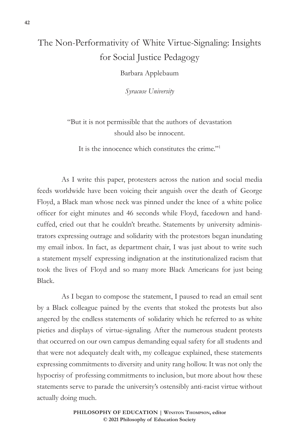## The Non-Performativity of White Virtue-Signaling: Insights for Social Justice Pedagogy

Barbara Applebaum

*Syracuse University*

"But it is not permissible that the authors of devastation should also be innocent.

It is the innocence which constitutes the crime."1

As I write this paper, protesters across the nation and social media feeds worldwide have been voicing their anguish over the death of George Floyd, a Black man whose neck was pinned under the knee of a white police officer for eight minutes and 46 seconds while Floyd, facedown and handcuffed, cried out that he couldn't breathe. Statements by university administrators expressing outrage and solidarity with the protestors began inundating my email inbox. In fact, as department chair, I was just about to write such a statement myself expressing indignation at the institutionalized racism that took the lives of Floyd and so many more Black Americans for just being Black.

As I began to compose the statement, I paused to read an email sent by a Black colleague pained by the events that stoked the protests but also angered by the endless statements of solidarity which he referred to as white pieties and displays of virtue-signaling. After the numerous student protests that occurred on our own campus demanding equal safety for all students and that were not adequately dealt with, my colleague explained, these statements expressing commitments to diversity and unity rang hollow. It was not only the hypocrisy of professing commitments to inclusion, but more about how these statements serve to parade the university's ostensibly anti-racist virtue without actually doing much.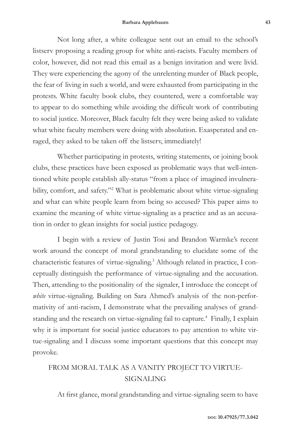Not long after, a white colleague sent out an email to the school's listserv proposing a reading group for white anti-racists. Faculty members of color, however, did not read this email as a benign invitation and were livid. They were experiencing the agony of the unrelenting murder of Black people, the fear of living in such a world, and were exhausted from participating in the protests. White faculty book clubs, they countered, were a comfortable way to appear to do something while avoiding the difficult work of contributing to social justice. Moreover, Black faculty felt they were being asked to validate what white faculty members were doing with absolution. Exasperated and enraged, they asked to be taken off the listserv, immediately!

Whether participating in protests, writing statements, or joining book clubs, these practices have been exposed as problematic ways that well-intentioned white people establish ally-status "from a place of imagined invulnerability, comfort, and safety."<sup>2</sup> What is problematic about white virtue-signaling and what can white people learn from being so accused? This paper aims to examine the meaning of white virtue-signaling as a practice and as an accusation in order to glean insights for social justice pedagogy.

I begin with a review of Justin Tosi and Brandon Warmke's recent work around the concept of moral grandstanding to elucidate some of the characteristic features of virtue-signaling.3 Although related in practice, I conceptually distinguish the performance of virtue-signaling and the accusation. Then, attending to the positionality of the signaler, I introduce the concept of *white* virtue-signaling. Building on Sara Ahmed's analysis of the non-performativity of anti-racism, I demonstrate what the prevailing analyses of grandstanding and the research on virtue-signaling fail to capture.<sup>4</sup> Finally, I explain why it is important for social justice educators to pay attention to white virtue-signaling and I discuss some important questions that this concept may provoke.

## FROM MORAL TALK AS A VANITY PROJECT TO VIRTUE-SIGNALING

At first glance, moral grandstanding and virtue-signaling seem to have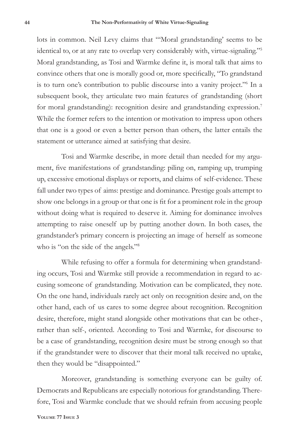lots in common. Neil Levy claims that "'Moral grandstanding' seems to be identical to, or at any rate to overlap very considerably with, virtue-signaling."5 Moral grandstanding, as Tosi and Warmke define it, is moral talk that aims to convince others that one is morally good or, more specifically, "To grandstand is to turn one's contribution to public discourse into a vanity project."<sup>6</sup> In a subsequent book, they articulate two main features of grandstanding (short for moral grandstanding): recognition desire and grandstanding expression.<sup>7</sup> While the former refers to the intention or motivation to impress upon others that one is a good or even a better person than others, the latter entails the statement or utterance aimed at satisfying that desire.

Tosi and Warmke describe, in more detail than needed for my argument, five manifestations of grandstanding: piling on, ramping up, trumping up, excessive emotional displays or reports, and claims of self-evidence. These fall under two types of aims: prestige and dominance. Prestige goals attempt to show one belongs in a group or that one is fit for a prominent role in the group without doing what is required to deserve it. Aiming for dominance involves attempting to raise oneself up by putting another down. In both cases, the grandstander's primary concern is projecting an image of herself as someone who is "on the side of the angels."<sup>8</sup>

While refusing to offer a formula for determining when grandstanding occurs, Tosi and Warmke still provide a recommendation in regard to accusing someone of grandstanding. Motivation can be complicated, they note. On the one hand, individuals rarely act only on recognition desire and, on the other hand, each of us cares to some degree about recognition. Recognition desire, therefore, might stand alongside other motivations that can be other-, rather than self-, oriented. According to Tosi and Warmke, for discourse to be a case of grandstanding, recognition desire must be strong enough so that if the grandstander were to discover that their moral talk received no uptake, then they would be "disappointed."

Moreover, grandstanding is something everyone can be guilty of. Democrats and Republicans are especially notorious for grandstanding. Therefore, Tosi and Warmke conclude that we should refrain from accusing people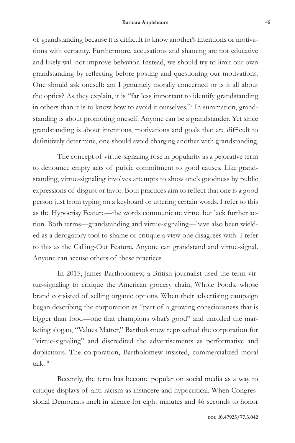of grandstanding because it is difficult to know another's intentions or motivations with certainty. Furthermore, accusations and shaming are not educative and likely will not improve behavior. Instead, we should try to limit our own grandstanding by reflecting before posting and questioning our motivations. One should ask oneself: am I genuinely morally concerned or is it all about the optics? As they explain, it is "far less important to identify grandstanding in others than it is to know how to avoid it ourselves."9 In summation, grandstanding is about promoting oneself. Anyone can be a grandstander. Yet since grandstanding is about intentions, motivations and goals that are difficult to definitively determine, one should avoid charging another with grandstanding.

The concept of virtue-signaling rose in popularity as a pejorative term to denounce empty acts of public commitment to good causes. Like grandstanding, virtue-signaling involves attempts to show one's goodness by public expressions of disgust or favor. Both practices aim to reflect that one is a good person just from typing on a keyboard or uttering certain words. I refer to this as the Hypocrisy Feature—the words communicate virtue but lack further action. Both terms—grandstanding and virtue-signaling—have also been wielded as a derogatory tool to shame or critique a view one disagrees with. I refer to this as the Calling-Out Feature. Anyone can grandstand and virtue-signal. Anyone can accuse others of these practices.

In 2015, James Bartholomew, a British journalist used the term virtue-signaling to critique the American grocery chain, Whole Foods, whose brand consisted of selling organic options. When their advertising campaign began describing the corporation as "part of a growing consciousness that is bigger than food—one that champions what's good" and unrolled the marketing slogan, "Values Matter," Bartholomew reproached the corporation for "virtue-signaling" and discredited the advertisements as performative and duplicitous. The corporation, Bartholomew insisted, commercialized moral  $t$ alk. $10$ 

Recently, the term has become popular on social media as a way to critique displays of anti-racism as insincere and hypocritical. When Congressional Democrats knelt in silence for eight minutes and 46 seconds to honor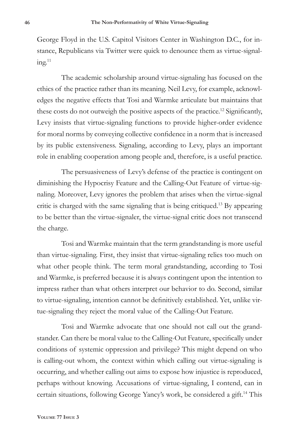George Floyd in the U.S. Capitol Visitors Center in Washington D.C., for instance, Republicans via Twitter were quick to denounce them as virtue-signal $ing.<sup>11</sup>$ 

The academic scholarship around virtue-signaling has focused on the ethics of the practice rather than its meaning. Neil Levy, for example, acknowledges the negative effects that Tosi and Warmke articulate but maintains that these costs do not outweigh the positive aspects of the practice.12 Significantly, Levy insists that virtue-signaling functions to provide higher-order evidence for moral norms by conveying collective confidence in a norm that is increased by its public extensiveness. Signaling, according to Levy, plays an important role in enabling cooperation among people and, therefore, is a useful practice.

The persuasiveness of Levy's defense of the practice is contingent on diminishing the Hypocrisy Feature and the Calling-Out Feature of virtue-signaling. Moreover, Levy ignores the problem that arises when the virtue-signal critic is charged with the same signaling that is being critiqued.13 By appearing to be better than the virtue-signaler, the virtue-signal critic does not transcend the charge.

Tosi and Warmke maintain that the term grandstanding is more useful than virtue-signaling. First, they insist that virtue-signaling relies too much on what other people think. The term moral grandstanding, according to Tosi and Warmke, is preferred because it is always contingent upon the intention to impress rather than what others interpret our behavior to do. Second, similar to virtue-signaling, intention cannot be definitively established. Yet, unlike virtue-signaling they reject the moral value of the Calling-Out Feature.

Tosi and Warmke advocate that one should not call out the grandstander. Can there be moral value to the Calling-Out Feature, specifically under conditions of systemic oppression and privilege? This might depend on who is calling-out whom, the context within which calling out virtue-signaling is occurring, and whether calling out aims to expose how injustice is reproduced, perhaps without knowing. Accusations of virtue-signaling, I contend, can in certain situations, following George Yancy's work, be considered a gift.14 This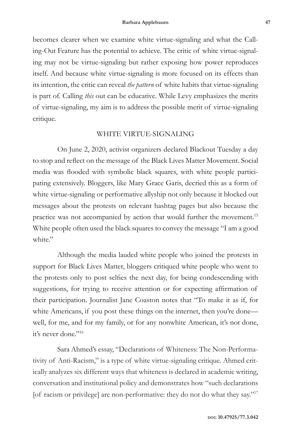becomes clearer when we examine white virtue-signaling and what the Calling-Out Feature has the potential to achieve. The critic of white virtue-signaling may not be virtue-signaling but rather exposing how power reproduces itself. And because white virtue-signaling is more focused on its effects than its intention, the critic can reveal *the pattern* of white habits that virtue-signaling is part of. Calling *this* out can be educative. While Levy emphasizes the merits of virtue-signaling, my aim is to address the possible merit of virtue-signaling critique.

## WHITE VIRTUE-SIGNALING

On June 2, 2020, activist organizers declared Blackout Tuesday a day to stop and reflect on the message of the Black Lives Matter Movement. Social media was flooded with symbolic black squares, with white people participating extensively. Bloggers, like Mary Grace Garis, decried this as a form of white virtue-signaling or performative allyship not only because it blocked out messages about the protests on relevant hashtag pages but also because the practice was not accompanied by action that would further the movement.<sup>15</sup> White people often used the black squares to convey the message "I am a good white."

Although the media lauded white people who joined the protests in support for Black Lives Matter, bloggers critiqued white people who went to the protests only to post selfies the next day, for being condescending with suggestions, for trying to receive attention or for expecting affirmation of their participation. Journalist Jane Coaston notes that "To make it as if, for white Americans, if you post these things on the internet, then you're done well, for me, and for my family, or for any nonwhite American, it's not done, it's never done."<sup>16</sup>

Sara Ahmed's essay, "Declarations of Whiteness: The Non-Performativity of Anti-Racism," is a type of white virtue-signaling critique. Ahmed critically analyzes six different ways that whiteness is declared in academic writing, conversation and institutional policy and demonstrates how "such declarations [of racism or privilege] are non-performative: they do not do what they say."<sup>17</sup>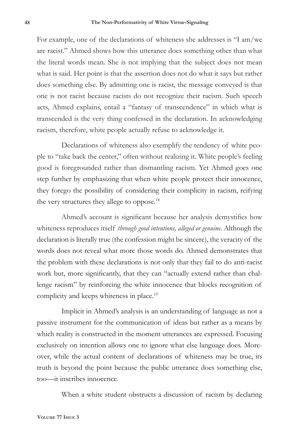For example, one of the declarations of whiteness she addresses is "I am/we are racist." Ahmed shows how this utterance does something other than what the literal words mean. She is not implying that the subject does not mean what is said. Her point is that the assertion does not do what it says but rather does something else. By admitting one is racist, the message conveyed is that one is not racist because racists do not recognize their racism. Such speech acts, Ahmed explains, entail a "fantasy of transcendence" in which what is transcended is the very thing confessed in the declaration. In acknowledging racism, therefore, white people actually refuse to acknowledge it.

Declarations of whiteness also exemplify the tendency of white people to "take back the center," often without realizing it. White people's feeling good is foregrounded rather than dismantling racism. Yet Ahmed goes one step further by emphasizing that when white people protect their innocence, they forego the possibility of considering their complicity in racism, reifying the very structures they allege to oppose.<sup>18</sup>

Ahmed's account is significant because her analysis demystifies how whiteness reproduces itself *through good intentions, alleged or genuine*. Although the declaration is literally true (the confession might be sincere), the veracity of the words does not reveal what more those words do. Ahmed demonstrates that the problem with these declarations is not only that they fail to do anti-racist work but, more significantly, that they can "actually extend rather than challenge racism" by reinforcing the white innocence that blocks recognition of complicity and keeps whiteness in place.<sup>19</sup>

Implicit in Ahmed's analysis is an understanding of language as not a passive instrument for the communication of ideas but rather as a means by which reality is constructed in the moment utterances are expressed. Focusing exclusively on intention allows one to ignore what else language does. Moreover, while the actual content of declarations of whiteness may be true, its truth is beyond the point because the public utterance does something else, too—it inscribes innocence.

When a white student obstructs a discussion of racism by declaring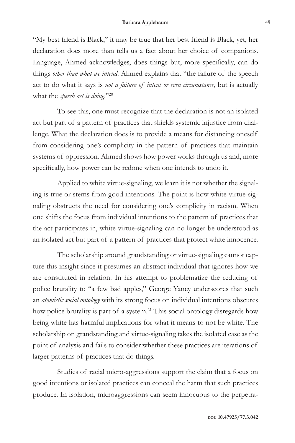"My best friend is Black," it may be true that her best friend is Black, yet, her declaration does more than tells us a fact about her choice of companions. Language, Ahmed acknowledges, does things but, more specifically, can do things *other than what we intend*. Ahmed explains that "the failure of the speech act to do what it says is *not a failure of intent or even circumstance*, but is actually what the *speech act is doing*."20

To see this, one must recognize that the declaration is not an isolated act but part of a pattern of practices that shields systemic injustice from challenge. What the declaration does is to provide a means for distancing oneself from considering one's complicity in the pattern of practices that maintain systems of oppression. Ahmed shows how power works through us and, more specifically, how power can be redone when one intends to undo it.

Applied to white virtue-signaling, we learn it is not whether the signaling is true or stems from good intentions. The point is how white virtue-signaling obstructs the need for considering one's complicity in racism. When one shifts the focus from individual intentions to the pattern of practices that the act participates in, white virtue-signaling can no longer be understood as an isolated act but part of a pattern of practices that protect white innocence.

The scholarship around grandstanding or virtue-signaling cannot capture this insight since it presumes an abstract individual that ignores how we are constituted in relation. In his attempt to problematize the reducing of police brutality to "a few bad apples," George Yancy underscores that such an *atomistic social ontology* with its strong focus on individual intentions obscures how police brutality is part of a system.<sup>21</sup> This social ontology disregards how being white has harmful implications for what it means to not be white. The scholarship on grandstanding and virtue-signaling takes the isolated case as the point of analysis and fails to consider whether these practices are iterations of larger patterns of practices that do things.

Studies of racial micro-aggressions support the claim that a focus on good intentions or isolated practices can conceal the harm that such practices produce. In isolation, microaggressions can seem innocuous to the perpetra-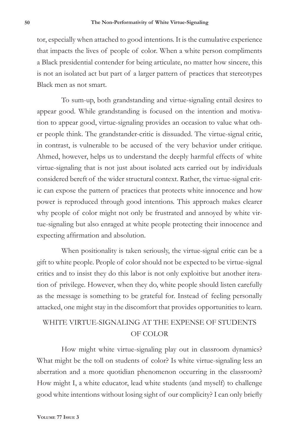tor, especially when attached to good intentions. It is the cumulative experience that impacts the lives of people of color. When a white person compliments a Black presidential contender for being articulate, no matter how sincere, this is not an isolated act but part of a larger pattern of practices that stereotypes Black men as not smart.

To sum-up, both grandstanding and virtue-signaling entail desires to appear good. While grandstanding is focused on the intention and motivation to appear good, virtue-signaling provides an occasion to value what other people think. The grandstander-critic is dissuaded. The virtue-signal critic, in contrast, is vulnerable to be accused of the very behavior under critique. Ahmed, however, helps us to understand the deeply harmful effects of white virtue-signaling that is not just about isolated acts carried out by individuals considered bereft of the wider structural context. Rather, the virtue-signal critic can expose the pattern of practices that protects white innocence and how power is reproduced through good intentions. This approach makes clearer why people of color might not only be frustrated and annoyed by white virtue-signaling but also enraged at white people protecting their innocence and expecting affirmation and absolution.

When positionality is taken seriously, the virtue-signal critic can be a gift to white people. People of color should not be expected to be virtue-signal critics and to insist they do this labor is not only exploitive but another iteration of privilege. However, when they do, white people should listen carefully as the message is something to be grateful for. Instead of feeling personally attacked, one might stay in the discomfort that provides opportunities to learn.

## WHITE VIRTUE-SIGNALING AT THE EXPENSE OF STUDENTS OF COLOR

How might white virtue-signaling play out in classroom dynamics? What might be the toll on students of color? Is white virtue-signaling less an aberration and a more quotidian phenomenon occurring in the classroom? How might I, a white educator, lead white students (and myself) to challenge good white intentions without losing sight of our complicity? I can only briefly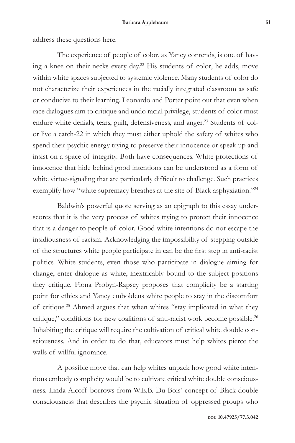address these questions here.

The experience of people of color, as Yancy contends, is one of having a knee on their necks every day.22 His students of color, he adds, move within white spaces subjected to systemic violence. Many students of color do not characterize their experiences in the racially integrated classroom as safe or conducive to their learning. Leonardo and Porter point out that even when race dialogues aim to critique and undo racial privilege, students of color must endure white denials, tears, guilt, defensiveness, and anger.<sup>23</sup> Students of color live a catch-22 in which they must either uphold the safety of whites who spend their psychic energy trying to preserve their innocence or speak up and insist on a space of integrity. Both have consequences. White protections of innocence that hide behind good intentions can be understood as a form of white virtue-signaling that are particularly difficult to challenge. Such practices exemplify how "white supremacy breathes at the site of Black asphyxiation."<sup>24</sup>

Baldwin's powerful quote serving as an epigraph to this essay underscores that it is the very process of whites trying to protect their innocence that is a danger to people of color. Good white intentions do not escape the insidiousness of racism. Acknowledging the impossibility of stepping outside of the structures white people participate in can be the first step in anti-racist politics. White students, even those who participate in dialogue aiming for change, enter dialogue as white, inextricably bound to the subject positions they critique. Fiona Probyn-Rapsey proposes that complicity be a starting point for ethics and Yancy emboldens white people to stay in the discomfort of critique.25 Ahmed argues that when whites "stay implicated in what they critique," conditions for new coalitions of anti-racist work become possible.<sup>26</sup> Inhabiting the critique will require the cultivation of critical white double consciousness. And in order to do that, educators must help whites pierce the walls of willful ignorance.

A possible move that can help whites unpack how good white intentions embody complicity would be to cultivate critical white double consciousness. Linda Alcoff borrows from W.E.B. Du Bois' concept of Black double consciousness that describes the psychic situation of oppressed groups who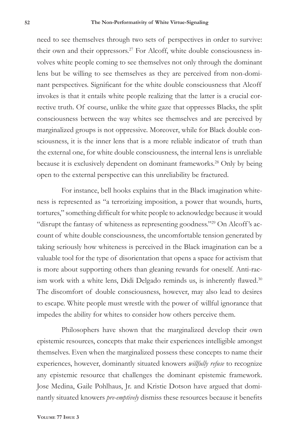need to see themselves through two sets of perspectives in order to survive: their own and their oppressors.<sup>27</sup> For Alcoff, white double consciousness involves white people coming to see themselves not only through the dominant lens but be willing to see themselves as they are perceived from non-dominant perspectives. Significant for the white double consciousness that Alcoff invokes is that it entails white people realizing that the latter is a crucial corrective truth. Of course, unlike the white gaze that oppresses Blacks, the split consciousness between the way whites see themselves and are perceived by marginalized groups is not oppressive. Moreover, while for Black double consciousness, it is the inner lens that is a more reliable indicator of truth than the external one, for white double consciousness, the internal lens is unreliable because it is exclusively dependent on dominant frameworks.<sup>28</sup> Only by being open to the external perspective can this unreliability be fractured.

For instance, bell hooks explains that in the Black imagination whiteness is represented as "a terrorizing imposition, a power that wounds, hurts, tortures," something difficult for white people to acknowledge because it would "disrupt the fantasy of whiteness as representing goodness."29 On Alcoff 's account of white double consciousness, the uncomfortable tension generated by taking seriously how whiteness is perceived in the Black imagination can be a valuable tool for the type of disorientation that opens a space for activism that is more about supporting others than gleaning rewards for oneself. Anti-racism work with a white lens, Didi Delgado reminds us, is inherently flawed.<sup>30</sup> The discomfort of double consciousness, however, may also lead to desires to escape. White people must wrestle with the power of willful ignorance that impedes the ability for whites to consider how others perceive them.

Philosophers have shown that the marginalized develop their own epistemic resources, concepts that make their experiences intelligible amongst themselves. Even when the marginalized possess these concepts to name their experiences, however, dominantly situated knowers *willfully refuse* to recognize any epistemic resource that challenges the dominant epistemic framework. Jose Medina, Gaile Pohlhaus, Jr. and Kristie Dotson have argued that dominantly situated knowers *pre-emptively* dismiss these resources because it benefits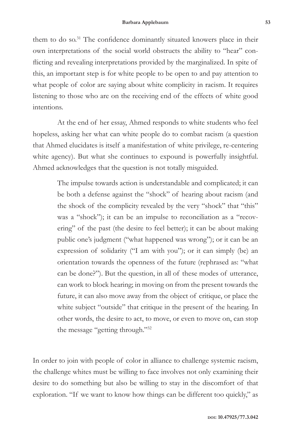them to do so.<sup>31</sup> The confidence dominantly situated knowers place in their own interpretations of the social world obstructs the ability to "hear" conflicting and revealing interpretations provided by the marginalized. In spite of this, an important step is for white people to be open to and pay attention to what people of color are saying about white complicity in racism. It requires listening to those who are on the receiving end of the effects of white good intentions.

At the end of her essay, Ahmed responds to white students who feel hopeless, asking her what can white people do to combat racism (a question that Ahmed elucidates is itself a manifestation of white privilege, re-centering white agency). But what she continues to expound is powerfully insightful. Ahmed acknowledges that the question is not totally misguided.

> The impulse towards action is understandable and complicated; it can be both a defense against the "shock" of hearing about racism (and the shock of the complicity revealed by the very "shock" that "this" was a "shock"); it can be an impulse to reconciliation as a "recovering" of the past (the desire to feel better); it can be about making public one's judgment ("what happened was wrong"); or it can be an expression of solidarity ("I am with you"); or it can simply (be) an orientation towards the openness of the future (rephrased as: "what can be done?"). But the question, in all of these modes of utterance, can work to block hearing; in moving on from the present towards the future, it can also move away from the object of critique, or place the white subject "outside" that critique in the present of the hearing. In other words, the desire to act, to move, or even to move on, can stop the message "getting through."32

In order to join with people of color in alliance to challenge systemic racism, the challenge whites must be willing to face involves not only examining their desire to do something but also be willing to stay in the discomfort of that exploration. "If we want to know how things can be different too quickly," as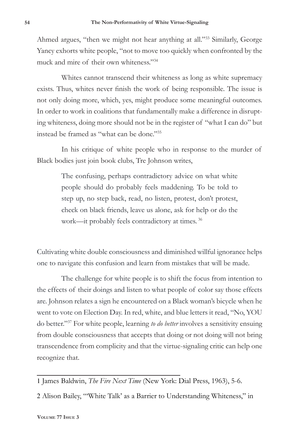Ahmed argues, "then we might not hear anything at all."<sup>33</sup> Similarly, George Yancy exhorts white people, "not to move too quickly when confronted by the muck and mire of their own whiteness."<sup>34</sup>

Whites cannot transcend their whiteness as long as white supremacy exists. Thus, whites never finish the work of being responsible. The issue is not only doing more, which, yes, might produce some meaningful outcomes. In order to work in coalitions that fundamentally make a difference in disrupting whiteness, doing more should not be in the register of "what I can do" but instead be framed as "what can be done."35

In his critique of white people who in response to the murder of Black bodies just join book clubs, Tre Johnson writes,

> The confusing, perhaps contradictory advice on what white people should do probably feels maddening. To be told to step up, no step back, read, no listen, protest, don't protest, check on black friends, leave us alone, ask for help or do the work—it probably feels contradictory at times. <sup>36</sup>

Cultivating white double consciousness and diminished willful ignorance helps one to navigate this confusion and learn from mistakes that will be made.

The challenge for white people is to shift the focus from intention to the effects of their doings and listen to what people of color say those effects are. Johnson relates a sign he encountered on a Black woman's bicycle when he went to vote on Election Day. In red, white, and blue letters it read, "No, YOU do better."37 For white people, learning *to do better* involves a sensitivity ensuing from double consciousness that accepts that doing or not doing will not bring transcendence from complicity and that the virtue-signaling critic can help one recognize that.

1 James Baldwin, *The Fire Next Time* (New York: Dial Press, 1963), 5-6.

2 Alison Bailey, "'White Talk' as a Barrier to Understanding Whiteness," in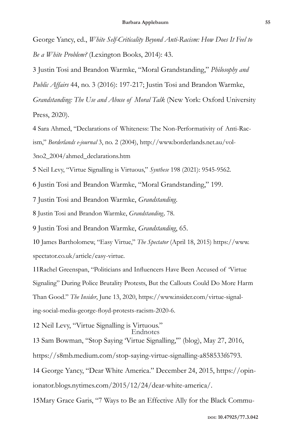George Yancy, ed., *White Self-Criticality Beyond Anti-Racism: How Does It Feel to Be a White Problem?* (Lexington Books, 2014): 43.

3 Justin Tosi and Brandon Warmke, "Moral Grandstanding," *Philosophy and* 

*Public Affairs* 44, no. 3 (2016): 197-217; Justin Tosi and Brandon Warmke,

*Grandstanding: The Use and Abuse of Moral Talk* (New York: Oxford University Press, 2020).

4 Sara Ahmed, "Declarations of Whiteness: The Non-Performativity of Anti-Racism," *Borderlands e-journal* 3, no. 2 (2004), http://www.borderlands.net.au/vol-3no2\_2004/ahmed\_declarations.htm

5 Neil Levy, "Virtue Signalling is Virtuous," *Synthese* 198 (2021): 9545-9562.

6 Justin Tosi and Brandon Warmke, "Moral Grandstanding," 199.

7 Justin Tosi and Brandon Warmke, *Grandstanding.*

8 Justin Tosi and Brandon Warmke, *Grandstanding,* 78.

9 Justin Tosi and Brandon Warmke, *Grandstanding*, 65.

10 James Bartholomew, "Easy Virtue," *The Spectator* (April 18, 2015) https://www. spectator.co.uk/article/easy-virtue.

11Rachel Greenspan, "Politicians and Influencers Have Been Accused of 'Virtue Signaling" During Police Brutality Protests, But the Callouts Could Do More Harm Than Good." *The Insider*, June 13, 2020, https://www.insider.com/virtue-signaling-social-media-george-floyd-protests-racism-2020-6.

12 Neil Levy, "Virtue Signalling is Virtuous."

13 Sam Bowman, "Stop Saying 'Virtue Signalling,'" (blog), May 27, 2016, Endnotes

https://s8mb.medium.com/stop-saying-virtue-signalling-a858533f6793.

14 George Yancy, "Dear White America." December 24, 2015, https://opin-

ionator.blogs.nytimes.com/2015/12/24/dear-white-america/.

15Mary Grace Garis, "7 Ways to Be an Effective Ally for the Black Commu-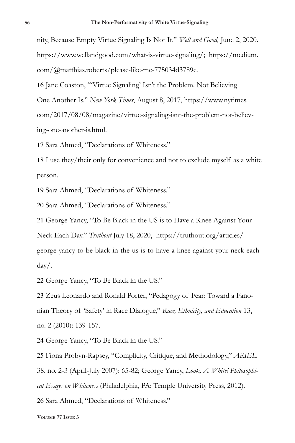nity, Because Empty Virtue Signaling Is Not It." *Well and Good,* June 2, 2020. https://www.wellandgood.com/what-is-virtue-signaling/; https://medium. com/@matthias.roberts/please-like-me-775034d3789e.

16 Jane Coaston, "'Virtue Signaling' Isn't the Problem. Not Believing

One Another Is." *New York Times*, August 8, 2017, https://www.nytimes.

com/2017/08/08/magazine/virtue-signaling-isnt-the-problem-not-believing-one-another-is.html.

17 Sara Ahmed, "Declarations of Whiteness."

18 I use they/their only for convenience and not to exclude myself as a white person.

19 Sara Ahmed, "Declarations of Whiteness."

20 Sara Ahmed, "Declarations of Whiteness."

21 George Yancy, "To Be Black in the US is to Have a Knee Against Your Neck Each Day." *Truthout* July 18, 2020, https://truthout.org/articles/ george-yancy-to-be-black-in-the-us-is-to-have-a-knee-against-your-neck-eachday/.

22 George Yancy, "To Be Black in the US."

23 Zeus Leonardo and Ronald Porter, "Pedagogy of Fear: Toward a Fanonian Theory of 'Safety' in Race Dialogue," *Race, Ethnicity, and Education* 13, no. 2 (2010): 139-157.

24 George Yancy, "To Be Black in the US."

25 Fiona Probyn-Rapsey, "Complicity, Critique, and Methodology," *ARIEL* 38. no. 2-3 (April-July 2007): 65-82; George Yancy, *Look, A White! Philosophical Essays on Whiteness* (Philadelphia, PA: Temple University Press, 2012).

26 Sara Ahmed, "Declarations of Whiteness."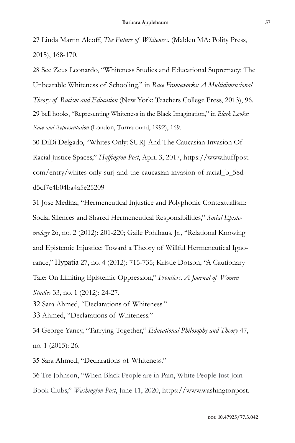27 Linda Martin Alcoff, *The Future of Whiteness*. (Malden MA: Polity Press, 2015), 168-170.

28 See Zeus Leonardo, "Whiteness Studies and Educational Supremacy: The Unbearable Whiteness of Schooling," in *Race Frameworks: A Multidimensional Theory of Racism and Education* (New York: Teachers College Press, 2013), 96. 29 bell hooks, "Representing Whiteness in the Black Imagination," in *Black Looks: Race and Representation* (London, Turnaround, 1992), 169.

30 DiDi Delgado, "Whites Only: SURJ And The Caucasian Invasion Of Racial Justice Spaces," *Huffington Post*, April 3, 2017, https://www.huffpost. com/entry/whites-only-surj-and-the-caucasian-invasion-of-racial\_b\_58dd5cf7e4b04ba4a5e25209

31 Jose Medina, "Hermeneutical Injustice and Polyphonic Contextualism: Social Silences and Shared Hermeneutical Responsibilities," *Social Epistemology* 26, no. 2 (2012): 201-220; Gaile Pohlhaus, Jr., "Relational Knowing and Epistemic Injustice: Toward a Theory of Willful Hermeneutical Ignorance," Hypatia 27, no. 4 (2012): 715-735; Kristie Dotson, "A Cautionary Tale: On Limiting Epistemic Oppression," *Frontiers: A Journal of Women Studies* 33, no. 1 (2012): 24-27. 32 Sara Ahmed, "Declarations of Whiteness."

33 Ahmed, "Declarations of Whiteness."

34 George Yancy, "Tarrying Together," *Educational Philosophy and Theory* 47, no. 1 (2015): 26.

35 Sara Ahmed, "Declarations of Whiteness."

36 Tre Johnson, "When Black People are in Pain, White People Just Join Book Clubs," *Washington Post*, June 11, 2020, https://www.washingtonpost.